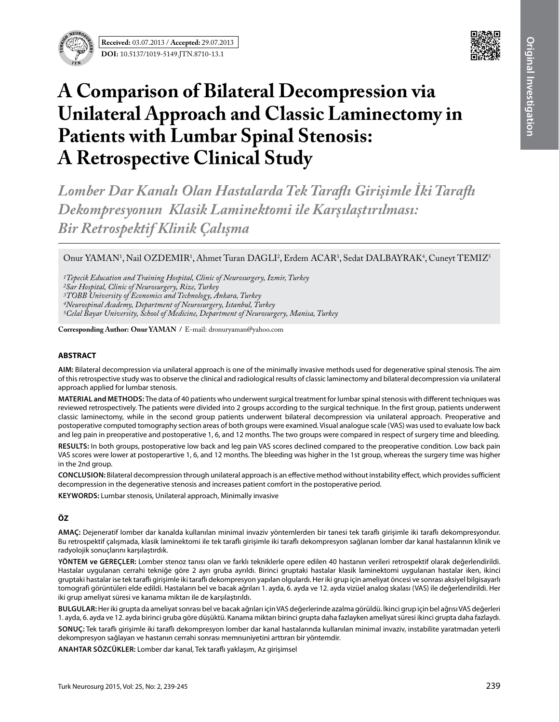



# **A Comparison of Bilateral Decompression via Unilateral Approach and Classic Laminectomy in Patients with Lumbar Spinal Stenosis: A Retrospective Clinical Study**

*Lomber Dar Kanalı Olan Hastalarda Tek Taraflı Girişimle İki Taraflı Dekompresyonun Klasik Laminektomi ile Karşılaştırılması: Bir Retrospektif Klinik Çalışma*

Onur YAMAN<sup>1</sup>, Nail OZDEMIR<sup>1</sup>, Ahmet Turan DAGLI<sup>2</sup>, Erdem ACAR<sup>3</sup>, Sedat DALBAYRAK<sup>4</sup>, Cuneyt TEMIZ<sup>5</sup>

*1Tepecik Education and Training Hospital, Clinic of Neurosurgery, Izmir, Turkey*

*2Sar Hospital, Clinic of Neurosurgery, Rize, Turkey*

**Corresponding Author: Onur Yaman /** E-mail: dronuryaman@yahoo.com

### **ABSTRACT**

**AIm:** Bilateral decompression via unilateral approach is one of the minimally invasive methods used for degenerative spinal stenosis. The aim of this retrospective study was to observe the clinical and radiological results of classic laminectomy and bilateral decompression via unilateral approach applied for lumbar stenosis.

**MaterIal and Methods:** The data of 40 patients who underwent surgical treatment for lumbar spinal stenosis with different techniques was reviewed retrospectively. The patients were divided into 2 groups according to the surgical technique. In the first group, patients underwent classic laminectomy, while in the second group patients underwent bilateral decompression via unilateral approach. Preoperative and postoperative computed tomography section areas of both groups were examined. Visual analogue scale (VAS) was used to evaluate low back and leg pain in preoperative and postoperative 1, 6, and 12 months. The two groups were compared in respect of surgery time and bleeding.

**Results:** In both groups, postoperative low back and leg pain VAS scores declined compared to the preoperative condition. Low back pain VAS scores were lower at postoperartive 1, 6, and 12 months. The bleeding was higher in the 1st group, whereas the surgery time was higher in the 2nd group.

**ConclusIon:** Bilateral decompression through unilateral approach is an effective method without instability effect, which provides sufficient decompression in the degenerative stenosis and increases patient comfort in the postoperative period.

**Keywords:** Lumbar stenosis, Unilateral approach, Minimally invasive

## **ÖZ**

**AMAÇ:** Dejeneratif lomber dar kanalda kullanılan minimal invaziv yöntemlerden bir tanesi tek taraflı girişimle iki taraflı dekompresyondur. Bu retrospektif çalışmada, klasik laminektomi ile tek taraflı girişimle iki taraflı dekompresyon sağlanan lomber dar kanal hastalarının klinik ve radyolojik sonuçlarını karşılaştırdık.

**YÖNTEM ve GEREÇLER:** Lomber stenoz tanısı olan ve farklı tekniklerle opere edilen 40 hastanın verileri retrospektif olarak değerlendirildi. Hastalar uygulanan cerrahi tekniğe göre 2 ayrı gruba ayrıldı. Birinci gruptaki hastalar klasik laminektomi uygulanan hastalar iken, ikinci gruptaki hastalar ise tek taraflı girişimle iki taraflı dekompresyon yapılan olgulardı. Her iki grup için ameliyat öncesi ve sonrası aksiyel bilgisayarlı tomografi görüntüleri elde edildi. Hastaların bel ve bacak ağrıları 1. ayda, 6. ayda ve 12. ayda vizüel analog skalası (VAS) ile değerlendirildi. Her iki grup ameliyat süresi ve kanama miktarı ile de karşılaştırıldı.

**BULGULAR:**Her iki grupta da ameliyat sonrası bel ve bacak ağrıları için VAS değerlerinde azalma görüldü. İkinci grup için bel ağrısı VAS değerleri 1. ayda, 6. ayda ve 12. ayda birinci gruba göre düşüktü. Kanama miktarı birinci grupta daha fazlayken ameliyat süresi ikinci grupta daha fazlaydı.

**SONUÇ:** Tek taraflı girişimle iki taraflı dekompresyon lomber dar kanal hastalarında kullanılan minimal invaziv, instabilite yaratmadan yeterli dekompresyon sağlayan ve hastanın cerrahi sonrası memnuniyetini arttıran bir yöntemdir.

**ANAHTAR SÖZCÜKLER:** Lomber dar kanal, Tek taraflı yaklaşım, Az girişimsel

*<sup>3</sup>TOBB University of Economics and Technology, Ankara, Turkey*

*<sup>4</sup>Neurospinal Academy, Department of Neurosurgery, Istanbul, Turkey*

*<sup>5</sup>Celal Bayar University, School of Medicine, Department of Neurosurgery, Manisa, Turkey*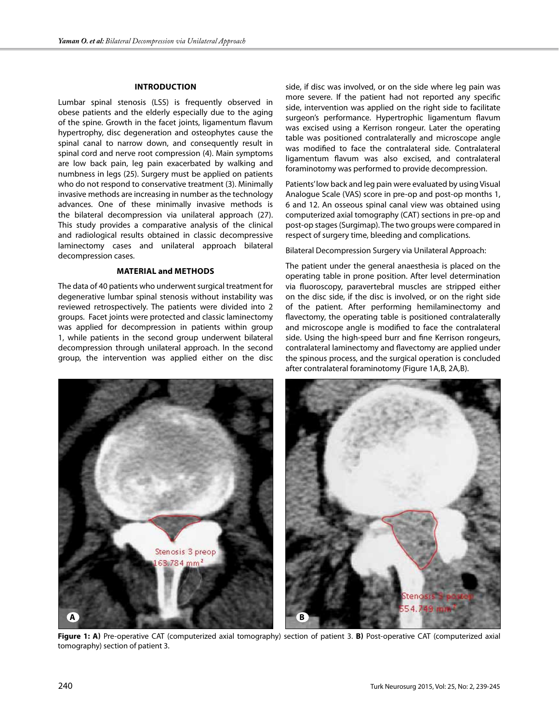### **Introduction**

Lumbar spinal stenosis (LSS) is frequently observed in obese patients and the elderly especially due to the aging of the spine. Growth in the facet joints, ligamentum flavum hypertrophy, disc degeneration and osteophytes cause the spinal canal to narrow down, and consequently result in spinal cord and nerve root compression (4). Main symptoms are low back pain, leg pain exacerbated by walking and numbness in legs (25). Surgery must be applied on patients who do not respond to conservative treatment (3). Minimally invasive methods are increasing in number as the technology advances. One of these minimally invasive methods is the bilateral decompression via unilateral approach (27). This study provides a comparative analysis of the clinical and radiological results obtained in classic decompressive laminectomy cases and unilateral approach bilateral decompression cases.

#### **Material and MethodS**

The data of 40 patients who underwent surgical treatment for degenerative lumbar spinal stenosis without instability was reviewed retrospectively. The patients were divided into 2 groups. Facet joints were protected and classic laminectomy was applied for decompression in patients within group 1, while patients in the second group underwent bilateral decompression through unilateral approach. In the second group, the intervention was applied either on the disc side, if disc was involved, or on the side where leg pain was more severe. If the patient had not reported any specific side, intervention was applied on the right side to facilitate surgeon's performance. Hypertrophic ligamentum flavum was excised using a Kerrison rongeur. Later the operating table was positioned contralaterally and microscope angle was modified to face the contralateral side. Contralateral ligamentum flavum was also excised, and contralateral foraminotomy was performed to provide decompression.

Patients' low back and leg pain were evaluated by using Visual Analogue Scale (VAS) score in pre-op and post-op months 1, 6 and 12. An osseous spinal canal view was obtained using computerized axial tomography (CAT) sections in pre-op and post-op stages (Surgimap). The two groups were compared in respect of surgery time, bleeding and complications.

Bilateral Decompression Surgery via Unilateral Approach:

The patient under the general anaesthesia is placed on the operating table in prone position. After level determination via fluoroscopy, paravertebral muscles are stripped either on the disc side, if the disc is involved, or on the right side of the patient. After performing hemilaminectomy and flavectomy, the operating table is positioned contralaterally and microscope angle is modified to face the contralateral side. Using the high-speed burr and fine Kerrison rongeurs, contralateral laminectomy and flavectomy are applied under the spinous process, and the surgical operation is concluded after contralateral foraminotomy (Figure 1A,B, 2A,B).



**Figure 1: a)** Pre-operative CAT (computerized axial tomography) section of patient 3. **b)** Post-operative CAT (computerized axial tomography) section of patient 3.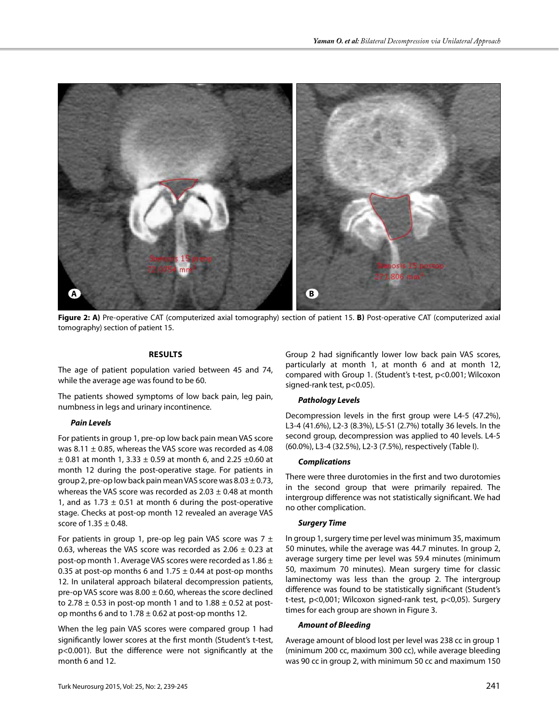

**Figure 2: a)** Pre-operative CAT (computerized axial tomography) section of patient 15. **b)** Post-operative CAT (computerized axial tomography) section of patient 15.

### **Results**

The age of patient population varied between 45 and 74, while the average age was found to be 60.

The patients showed symptoms of low back pain, leg pain, numbness in legs and urinary incontinence.

#### *Pain Levels*

For patients in group 1, pre-op low back pain mean VAS score was 8.11  $\pm$  0.85, whereas the VAS score was recorded as 4.08  $\pm$  0.81 at month 1, 3.33  $\pm$  0.59 at month 6, and 2.25  $\pm$ 0.60 at month 12 during the post-operative stage. For patients in group 2, pre-op low back pain mean VAS score was  $8.03 \pm 0.73$ , whereas the VAS score was recorded as  $2.03 \pm 0.48$  at month 1, and as  $1.73 \pm 0.51$  at month 6 during the post-operative stage. Checks at post-op month 12 revealed an average VAS score of  $1.35 \pm 0.48$ .

For patients in group 1, pre-op leg pain VAS score was  $7 \pm$ 0.63, whereas the VAS score was recorded as  $2.06 \pm 0.23$  at post-op month 1. Average VAS scores were recorded as  $1.86 \pm$ 0.35 at post-op months 6 and 1.75  $\pm$  0.44 at post-op months 12. In unilateral approach bilateral decompression patients, pre-op VAS score was  $8.00 \pm 0.60$ , whereas the score declined to 2.78  $\pm$  0.53 in post-op month 1 and to 1.88  $\pm$  0.52 at postop months 6 and to  $1.78 \pm 0.62$  at post-op months 12.

When the leg pain VAS scores were compared group 1 had significantly lower scores at the first month (Student's t-test, p<0.001). But the difference were not significantly at the month 6 and 12.

Group 2 had significantly lower low back pain VAS scores, particularly at month 1, at month 6 and at month 12, compared with Group 1. (Student's t-test, p<0.001; Wilcoxon signed-rank test, p<0.05).

#### *Pathology Levels*

Decompression levels in the first group were L4-5 (47.2%), L3-4 (41.6%), L2-3 (8.3%), L5-S1 (2.7%) totally 36 levels. In the second group, decompression was applied to 40 levels. L4-5 (60.0%), L3-4 (32.5%), L2-3 (7.5%), respectively (Table I).

## *Complications*

There were three durotomies in the first and two durotomies in the second group that were primarily repaired. The intergroup difference was not statistically significant. We had no other complication.

## *Surgery Time*

In group 1, surgery time per level was minimum 35, maximum 50 minutes, while the average was 44.7 minutes. In group 2, average surgery time per level was 59.4 minutes (minimum 50, maximum 70 minutes). Mean surgery time for classic laminectomy was less than the group 2. The intergroup difference was found to be statistically significant (Student's t-test, p<0,001; Wilcoxon signed-rank test, p<0,05). Surgery times for each group are shown in Figure 3.

### *Amount of Bleeding*

Average amount of blood lost per level was 238 cc in group 1 (minimum 200 cc, maximum 300 cc), while average bleeding was 90 cc in group 2, with minimum 50 cc and maximum 150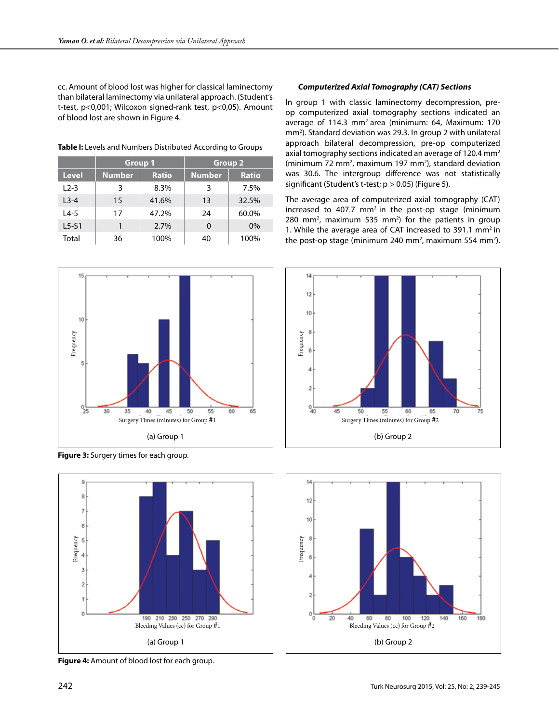cc. Amount of blood lost was higher for classical laminectomy than bilateral laminectomy via unilateral approach. (Student's t-test, p<0,001; Wilcoxon signed-rank test, p<0,05). Amount of blood lost are shown in Figure 4.

**Table I:** Levels and Numbers Distributed According to Groups

|              | <b>Group 1</b> |              | <b>Group 2</b> |              |
|--------------|----------------|--------------|----------------|--------------|
| <b>Level</b> | <b>Number</b>  | <b>Ratio</b> | <b>Number</b>  | <b>Ratio</b> |
| $12-3$       | 3              | 8.3%         | 3              | 7.5%         |
| $L3-4$       | 15             | 41.6%        | 13             | 32.5%        |
| $L4-5$       | 17             | 47.2%        | 24             | 60.0%        |
| $L5-S1$      |                | 2.7%         | 0              | $0\%$        |
| Total        | 36             | 100%         | 40             | 100%         |



**Figure 3:** Surgery times for each group.



**Figure 4:** Amount of blood lost for each group.

# *Computerized Axial Tomography (CAT) Sections*

In group 1 with classic laminectomy decompression, preop computerized axial tomography sections indicated an average of 114.3 mm2 area (minimum: 64, Maximum: 170 mm<sup>2</sup>). Standard deviation was 29.3. In group 2 with unilateral approach bilateral decompression, pre-op computerized axial tomography sections indicated an average of 120.4 mm2  $(\text{minimum } 72 \text{ mm}^2, \text{maximum } 197 \text{ mm}^2)$ , standard deviation was 30.6. The intergroup difference was not statistically significant (Student's t-test;  $p > 0.05$ ) (Figure 5).

The average area of computerized axial tomography (CAT) increased to 407.7  $mm<sup>2</sup>$  in the post-op stage (minimum 280 mm<sup>2</sup>, maximum 535 mm<sup>2</sup>) for the patients in group 1. While the average area of CAT increased to 391.1  $mm<sup>2</sup>$  in the post-op stage (minimum 240 mm<sup>2</sup>, maximum 554 mm<sup>2</sup>).



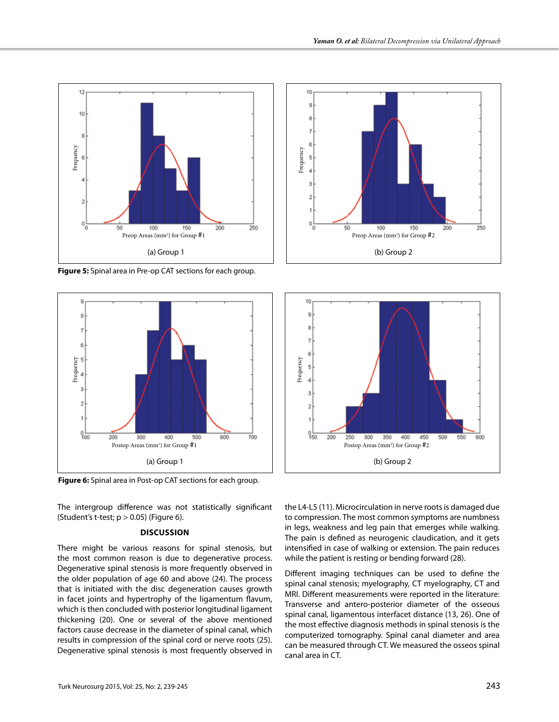

**Figure 5:** Spinal area in Pre-op CAT sections for each group.



**Figure 6:** Spinal area in Post-op CAT sections for each group.

The intergroup difference was not statistically significant (Student's t-test;  $p > 0.05$ ) (Figure 6).

#### **Discussion**

There might be various reasons for spinal stenosis, but the most common reason is due to degenerative process. Degenerative spinal stenosis is more frequently observed in the older population of age 60 and above (24). The process that is initiated with the disc degeneration causes growth in facet joints and hypertrophy of the ligamentum flavum, which is then concluded with posterior longitudinal ligament thickening (20). One or several of the above mentioned factors cause decrease in the diameter of spinal canal, which results in compression of the spinal cord or nerve roots (25). Degenerative spinal stenosis is most frequently observed in





the L4-L5 (11). Microcirculation in nerve roots is damaged due to compression. The most common symptoms are numbness in legs, weakness and leg pain that emerges while walking. The pain is defined as neurogenic claudication, and it gets intensified in case of walking or extension. The pain reduces while the patient is resting or bending forward (28).

Different imaging techniques can be used to define the spinal canal stenosis; myelography, CT myelography, CT and MRI. Different measurements were reported in the literature: Transverse and antero-posterior diameter of the osseous spinal canal, ligamentous interfacet distance (13, 26). One of the most effective diagnosis methods in spinal stenosis is the computerized tomography. Spinal canal diameter and area can be measured through CT. We measured the osseos spinal canal area in CT.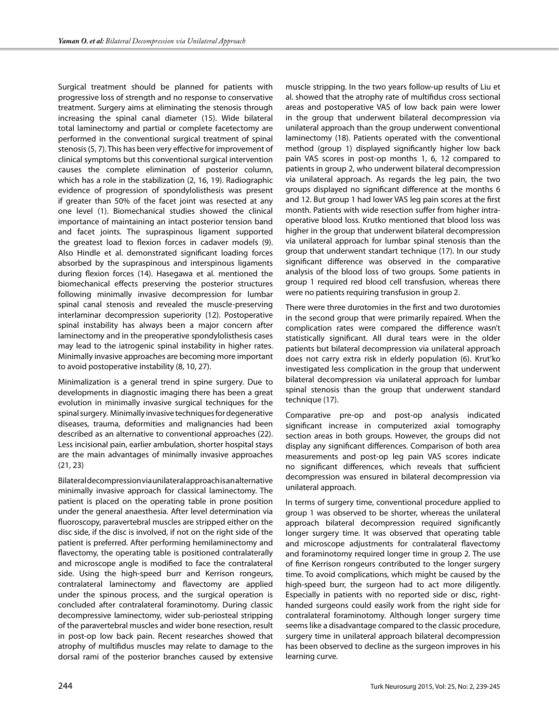Surgical treatment should be planned for patients with progressive loss of strength and no response to conservative treatment. Surgery aims at eliminating the stenosis through increasing the spinal canal diameter (15). Wide bilateral total laminectomy and partial or complete facetectomy are performed in the conventional surgical treatment of spinal stenosis (5, 7). This has been very effective for improvement of clinical symptoms but this conventional surgical intervention causes the complete elimination of posterior column, which has a role in the stabilization (2, 16, 19). Radiographic evidence of progression of spondylolisthesis was present if greater than 50% of the facet joint was resected at any one level (1). Biomechanical studies showed the clinical importance of maintaining an intact posterior tension band and facet joints. The supraspinous ligament supported the greatest load to flexion forces in cadaver models (9). Also Hindle et al. demonstrated significant loading forces absorbed by the supraspinous and interspinous ligaments during flexion forces (14). Hasegawa et al. mentioned the biomechanical effects preserving the posterior structures following minimally invasive decompression for lumbar spinal canal stenosis and revealed the muscle-preserving interlaminar decompression superiority (12). Postoperative spinal instability has always been a major concern after laminectomy and in the preoperative spondylolisthesis cases may lead to the iatrogenic spinal instability in higher rates. Minimally invasive approaches are becoming more important to avoid postoperative instability (8, 10, 27).

Minimalization is a general trend in spine surgery. Due to developments in diagnostic imaging there has been a great evolution in minimally invasive surgical techniques for the spinal surgery. Minimally invasive techniques for degenerative diseases, trauma, deformities and malignancies had been described as an alternative to conventional approaches (22). Less incisional pain, earlier ambulation, shorter hospital stays are the main advantages of minimally invasive approaches (21, 23)

Bilateral decompression via unilateral approach is an alternative minimally invasive approach for classical laminectomy. The patient is placed on the operating table in prone position under the general anaesthesia. After level determination via fluoroscopy, paravertebral muscles are stripped either on the disc side, if the disc is involved, if not on the right side of the patient is preferred. After performing hemilaminectomy and flavectomy, the operating table is positioned contralaterally and microscope angle is modified to face the contralateral side. Using the high-speed burr and Kerrison rongeurs, contralateral laminectomy and flavectomy are applied under the spinous process, and the surgical operation is concluded after contralateral foraminotomy. During classic decompressive laminectomy, wider sub-periosteal stripping of the paravertebral muscles and wider bone resection, result in post-op low back pain. Recent researches showed that atrophy of multifidus muscles may relate to damage to the dorsal rami of the posterior branches caused by extensive

muscle stripping. In the two years follow-up results of Liu et al. showed that the atrophy rate of multifidus cross sectional areas and postoperative VAS of low back pain were lower in the group that underwent bilateral decompression via unilateral approach than the group underwent conventional laminectomy (18). Patients operated with the conventional method (group 1) displayed significantly higher low back pain VAS scores in post-op months 1, 6, 12 compared to patients in group 2, who underwent bilateral decompression via unilateral approach. As regards the leg pain, the two groups displayed no significant difference at the months 6 and 12. But group 1 had lower VAS leg pain scores at the first month. Patients with wide resection suffer from higher intraoperative blood loss. Krutko mentioned that blood loss was higher in the group that underwent bilateral decompression via unilateral approach for lumbar spinal stenosis than the group that underwent standart technique (17). In our study significant difference was observed in the comparative analysis of the blood loss of two groups. Some patients in group 1 required red blood cell transfusion, whereas there were no patients requiring transfusion in group 2.

There were three durotomies in the first and two durotomies in the second group that were primarily repaired. When the complication rates were compared the difference wasn't statistically significant. All dural tears were in the older patients but bilateral decompression via unilateral approach does not carry extra risk in elderly population (6). Krut'ko investigated less complication in the group that underwent bilateral decompression via unilateral approach for lumbar spinal stenosis than the group that underwent standard technique (17).

Comparative pre-op and post-op analysis indicated significant increase in computerized axial tomography section areas in both groups. However, the groups did not display any significant differences. Comparison of both area measurements and post-op leg pain VAS scores indicate no significant differences, which reveals that sufficient decompression was ensured in bilateral decompression via unilateral approach.

In terms of surgery time, conventional procedure applied to group 1 was observed to be shorter, whereas the unilateral approach bilateral decompression required significantly longer surgery time. It was observed that operating table and microscope adjustments for contralateral flavectomy and foraminotomy required longer time in group 2. The use of fine Kerrison rongeurs contributed to the longer surgery time. To avoid complications, which might be caused by the high-speed burr, the surgeon had to act more diligently. Especially in patients with no reported side or disc, righthanded surgeons could easily work from the right side for contralateral foraminotomy. Although longer surgery time seems like a disadvantage compared to the classic procedure, surgery time in unilateral approach bilateral decompression has been observed to decline as the surgeon improves in his learning curve.